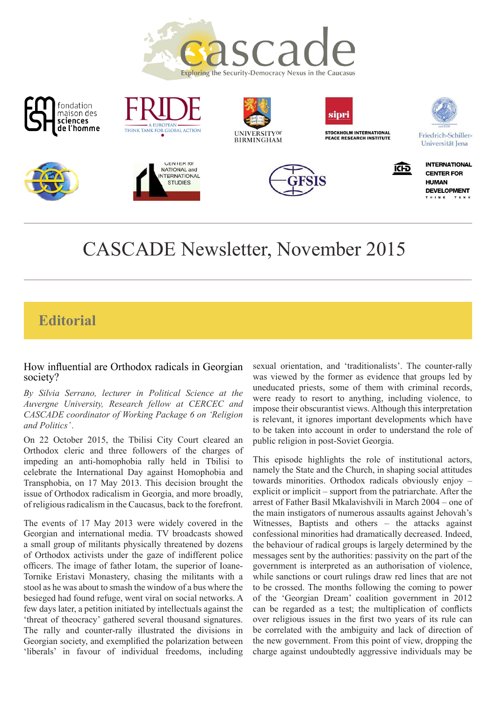







**FUROPEAN** 

THINK TANK FOR GLOBAL ACTION









**ICFD** 

Friedrich-Schiller-Universität Iena





# CASCADE Newsletter, November 2015

# **Editorial**

#### How influential are Orthodox radicals in Georgian society?

*By Silvia Serrano, lecturer in Political Science at the Auvergne University, Research fellow at CERCEC and CASCADE coordinator of Working Package 6 on 'Religion and Politics' .*

On 22 October 2015, the Tbilisi City Court cleared an Orthodox cleric and three followers of the charges of impeding an anti-homophobia rally held in Tbilisi to celebrate the International Day against Homophobia and Transphobia, on 17 May 2013. This decision brought the issue of Orthodox radicalism in Georgia, and more broadly, of religious radicalism in the Caucasus, back to the forefront.

The events of 17 May 2013 were widely covered in the Georgian and international media. TV broadcasts showed a small group of militants physically threatened by dozens of Orthodox activists under the gaze of indifferent police officers. The image of father Iotam, the superior of Ioane-Tornike Eristavi Monastery, chasing the militants with a stool as he was about to smash the window of a bus where the besieged had found refuge, went viral on social networks. A few days later, a petition initiated by intellectuals against the 'threat of theocracy' gathered several thousand signatures. The rally and counter-rally illustrated the divisions in Georgian society, and exemplified the polarization between 'liberals' in favour of individual freedoms, including

sexual orientation, and 'traditionalists'. The counter-rally was viewed by the former as evidence that groups led by uneducated priests, some of them with criminal records, were ready to resort to anything, including violence, to impose their obscurantist views. Although this interpretation is relevant, it ignores important developments which have to be taken into account in order to understand the role of public religion in post-Soviet Georgia.

This episode highlights the role of institutional actors, namely the State and the Church, in shaping social attitudes towards minorities. Orthodox radicals obviously enjoy – explicit or implicit – support from the patriarchate. After the arrest of Father Basil Mkalavishvili in March 2004 – one of the main instigators of numerous assaults against Jehovah's Witnesses, Baptists and others – the attacks against confessional minorities had dramatically decreased. Indeed, the behaviour of radical groups is largely determined by the messages sent by the authorities: passivity on the part of the government is interpreted as an authorisation of violence, while sanctions or court rulings draw red lines that are not to be crossed. The months following the coming to power of the 'Georgian Dream' coalition government in 2012 can be regarded as a test; the multiplication of conflicts over religious issues in the first two years of its rule can be correlated with the ambiguity and lack of direction of the new government. From this point of view, dropping the charge against undoubtedly aggressive individuals may be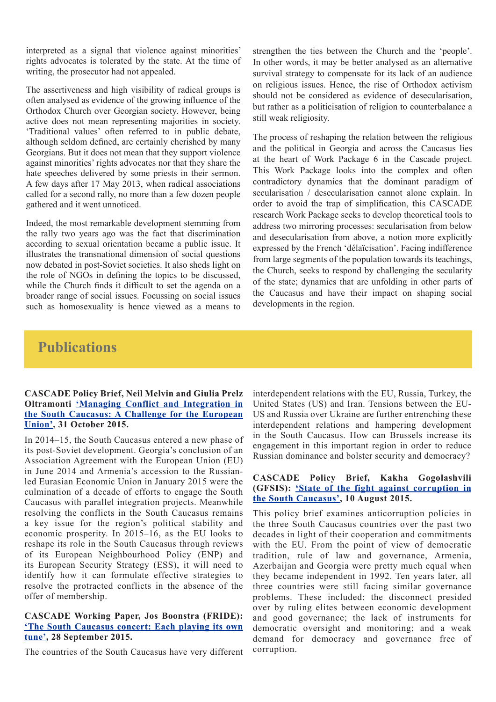interpreted as a signal that violence against minorities' rights advocates is tolerated by the state. At the time of writing, the prosecutor had not appealed.

The assertiveness and high visibility of radical groups is often analysed as evidence of the growing influence of the Orthodox Church over Georgian society. However, being active does not mean representing majorities in society. 'Traditional values' often referred to in public debate, although seldom defined, are certainly cherished by many Georgians. But it does not mean that they support violence against minorities' rights advocates nor that they share the hate speeches delivered by some priests in their sermon. A few days after 17 May 2013, when radical associations called for a second rally, no more than a few dozen people gathered and it went unnoticed.

Indeed, the most remarkable development stemming from the rally two years ago was the fact that discrimination according to sexual orientation became a public issue. It illustrates the transnational dimension of social questions now debated in post-Soviet societies. It also sheds light on the role of NGOs in defining the topics to be discussed, while the Church finds it difficult to set the agenda on a broader range of social issues. Focussing on social issues such as homosexuality is hence viewed as a means to

strengthen the ties between the Church and the 'people'. In other words, it may be better analysed as an alternative survival strategy to compensate for its lack of an audience on religious issues. Hence, the rise of Orthodox activism should not be considered as evidence of desecularisation, but rather as a politicisation of religion to counterbalance a still weak religiosity.

The process of reshaping the relation between the religious and the political in Georgia and across the Caucasus lies at the heart of Work Package 6 in the Cascade project. This Work Package looks into the complex and often contradictory dynamics that the dominant paradigm of secularisation / desecularisation cannot alone explain. In order to avoid the trap of simplification, this CASCADE research Work Package seeks to develop theoretical tools to address two mirroring processes: secularisation from below and desecularisation from above, a notion more explicitly expressed by the French 'délaïcisation'. Facing indifference from large segments of the population towards its teachings, the Church, seeks to respond by challenging the secularity of the state; dynamics that are unfolding in other parts of the Caucasus and have their impact on shaping social developments in the region.

# **Publications**

#### **CASCADE Policy Brief, Neil Melvin and Giulia Prelz Oltramonti ['Managing Conflict and Integration in](http://www.cascade-caucasus.eu/wp-content/uploads/2015/11/D7.1-Conflict-and-integration.pdf)  [the South Caucasus: A Challenge for the European](http://www.cascade-caucasus.eu/wp-content/uploads/2015/11/D7.1-Conflict-and-integration.pdf)  [Union',](http://www.cascade-caucasus.eu/wp-content/uploads/2015/11/D7.1-Conflict-and-integration.pdf) 31 October 2015.**

In 2014–15, the South Caucasus entered a new phase of its post-Soviet development. Georgia's conclusion of an Association Agreement with the European Union (EU) in June 2014 and Armenia's accession to the Russianled Eurasian Economic Union in January 2015 were the culmination of a decade of efforts to engage the South Caucasus with parallel integration projects. Meanwhile resolving the conflicts in the South Caucasus remains a key issue for the region's political stability and economic prosperity. In 2015–16, as the EU looks to reshape its role in the South Caucasus through reviews of its European Neighbourhood Policy (ENP) and its European Security Strategy (ESS), it will need to identify how it can formulate effective strategies to resolve the protracted conflicts in the absence of the offer of membership.

#### **CASCADE Working Paper, Jos Boonstra (FRIDE): ['The South Caucasus concert: Each playing its own](http://www.cascade-caucasus.eu/wp-content/uploads/2015/09/WP-128-ok.pdf)  [tune',](http://www.cascade-caucasus.eu/wp-content/uploads/2015/09/WP-128-ok.pdf) 28 September 2015.**

The countries of the South Caucasus have very different

interdependent relations with the EU, Russia, Turkey, the United States (US) and Iran. Tensions between the EU-US and Russia over Ukraine are further entrenching these interdependent relations and hampering development in the South Caucasus. How can Brussels increase its engagement in this important region in order to reduce Russian dominance and bolster security and democracy?

#### **CASCADE Policy Brief, Kakha Gogolashvili (GFSIS): ['State of the fight against corruption in](http://www.cascade-caucasus.eu/wp-content/uploads/2015/10/D5.1-State-of-the-Fight-of-Corruption-in-South-Caucasus.pdf)  [the South Caucasus',](http://www.cascade-caucasus.eu/wp-content/uploads/2015/10/D5.1-State-of-the-Fight-of-Corruption-in-South-Caucasus.pdf) 10 August 2015.**

This policy brief examines anticorruption policies in the three South Caucasus countries over the past two decades in light of their cooperation and commitments with the EU. From the point of view of democratic tradition, rule of law and governance, Armenia, Azerbaijan and Georgia were pretty much equal when they became independent in 1992. Ten years later, all three countries were still facing similar governance problems. These included: the disconnect presided over by ruling elites between economic development and good governance; the lack of instruments for democratic oversight and monitoring; and a weak demand f[or](http://www.ceps.be/system/files/CEPS%20Essay%20No%2017%20Fragmented%20Neighbourhood%20-%20H%20Kostanyan%20L%20Delcour.pdf) democracy and governance free of corruption.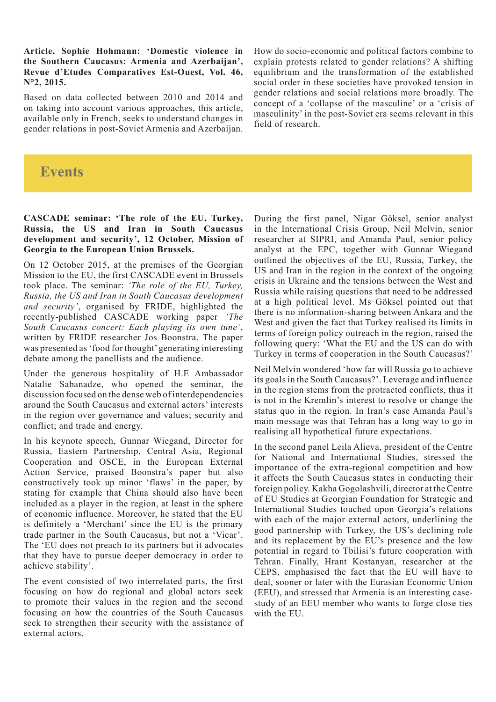**Article, Sophie Hohmann: 'Domestic violence in the Southern Caucasus: Armenia and Azerbaijan', Revue d'Etudes Comparatives Est-Ouest, Vol. 46, N°2, 2015.** 

Based on data collected between 2010 and 2014 and on taking into account various approaches, this article, available only in French, seeks to understand changes in gender relations in post-Soviet Armenia and Azerbaijan.

How do socio-economic and political factors combine to explain protests related to gender relations? A shifting equilibrium and the transformation of the established social order in these societies have provoked tension in gender relations and social relations more broadly. The concept of a 'collapse of the masculine' or a 'crisis of masculinity' in the post-Soviet era seems relevant in this field of research.

### **Events**

#### **CASCADE seminar: 'The role of the EU, Turkey, Russia, the US and Iran in South Caucasus development and security', 12 October, Mission of Georgia to the European Union Brussels.**

On 12 October 2015, at the premises of the Georgian Mission to the EU, the first CASCADE event in Brussels took place. The seminar: *'The role of the EU, Turkey, Russia, the US and Iran in South Caucasus development and security'*, organised by FRIDE, highlighted the recently-published CASCADE working paper *'The South Caucasus concert: Each playing its own tune'*, written by FRIDE researcher Jos Boonstra. The paper was presented as 'food for thought' generating interesting debate among the panellists and the audience.

Under the generous hospitality of H.E Ambassador Natalie Sabanadze, who opened the seminar, the discussion focused on the dense web of interdependencies around the South Caucasus and external actors' interests in the region over governance and values; security and conflict; and trade and energy.

In his keynote speech, Gunnar Wiegand, Director for Russia, Eastern Partnership, Central Asia, Regional Cooperation and OSCE, in the European External Action Service, praised Boonstra's paper but also constructively took up minor 'flaws' in the paper, by stating for example that China should also have been included as a player in the region, at least in the sphere of economic influence. Moreover, he stated that the EU is definitely a 'Merchant' since the EU is the primary trade partner in the South Caucasus, but not a 'Vicar'. The 'EU does not preach to its partners but it advocates that they have to pursue deeper democracy in order to achieve stability'.

The event consisted of two interrelated parts, the first focusing on how do regional and global actors seek to promote their values in the region and the second focusing on how the countries of the South Caucasus seek to strengthen their security with the assistance of external actors.

During the first panel, Nigar Göksel, senior analyst in the International Crisis Group, Neil Melvin, senior researcher at SIPRI, and Amanda Paul, senior policy analyst at the EPC, together with Gunnar Wiegand outlined the objectives of the EU, Russia, Turkey, the US and Iran in the region in the context of the ongoing crisis in Ukraine and the tensions between the West and Russia while raising questions that need to be addressed at a high political level. Ms Göksel pointed out that there is no information-sharing between Ankara and the West and given the fact that Turkey realised its limits in terms of foreign policy outreach in the region, raised the following query: 'What the EU and the US can do with Turkey in terms of cooperation in the South Caucasus?'

Neil Melvin wondered 'how far will Russia go to achieve its goals in the South Caucasus?'. Leverage and influence in the region stems from the protracted conflicts, thus it is not in the Kremlin's interest to resolve or change the status quo in the region. In Iran's case Amanda Paul's main message was that Tehran has a long way to go in realising all hypothetical future expectations.

In the second panel Leila Alieva, president of the Centre for National and International Studies, stressed the importance of the extra-regional competition and how it affects the South Caucasus states in conducting their foreign policy. Kakha Gogolashvili, director at the Centre of EU Studies at Georgian Foundation for Strategic and International Studies touched upon Georgia's relations with each of the major external actors, underlining the good partnership with Turkey, the US's declining role and its replacement by the EU's presence and the low potential in regard to Tbilisi's future cooperation with Tehran. Finally, Hrant Kostanyan, researcher at the CEPS, emphasised the fact that the EU will have to deal, sooner or later with the Eurasian Economic Union (EEU), and stressed that Armenia is an interesting casestudy of an EEU member who wants to forge close ties with the EU.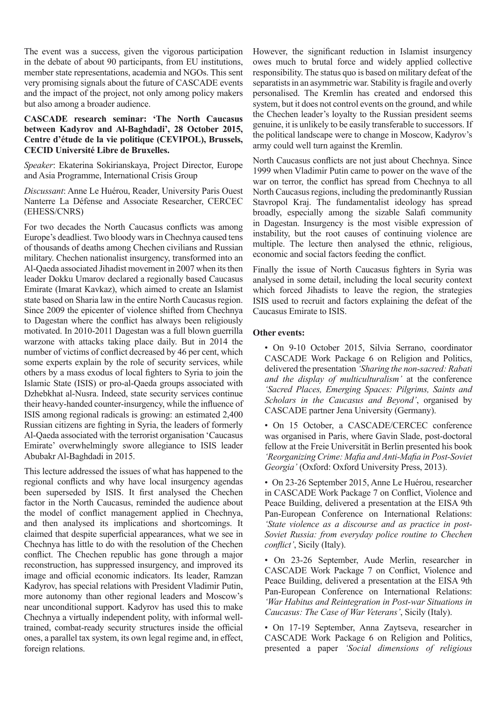The event was a success, given the vigorous participation in the debate of about 90 participants, from EU institutions, member state representations, academia and NGOs. This sent very promising signals about the future of CASCADE events and the impact of the project, not only among policy makers but also among a broader audience.

#### **CASCADE research seminar: 'The North Caucasus between Kadyrov and Al-Baghdadi', 28 October 2015, Centre d'étude de la vie politique (CEVIPOL), Brussels, CECID Université Libre de Bruxelles.**

*Speaker*: Ekaterina Sokirianskaya, Project Director, Europe and Asia Programme, International Crisis Group

*Discussant*: Anne Le Huérou, Reader, University Paris Ouest Nanterre La Défense and Associate Researcher, CERCEC (EHESS/CNRS)

For two decades the North Caucasus conflicts was among Europe's deadliest. Two bloody wars in Chechnya caused tens of thousands of deaths among Chechen civilians and Russian military. Chechen nationalist insurgency, transformed into an Al-Qaeda associated Jihadist movement in 2007 when its then leader Dokku Umarov declared a regionally based Caucasus Emirate (Imarat Kavkaz), which aimed to create an Islamist state based on Sharia law in the entire North Caucasus region. Since 2009 the epicenter of violence shifted from Chechnya to Dagestan where the conflict has always been religiously motivated. In 2010-2011 Dagestan was a full blown guerrilla warzone with attacks taking place daily. But in 2014 the number of victims of conflict decreased by 46 per cent, which some experts explain by the role of security services, while others by a mass exodus of local fighters to Syria to join the Islamic State (ISIS) or pro-al-Qaeda groups associated with Dzhebkhat al-Nusra. Indeed, state security services continue their heavy-handed counter-insurgency, while the influence of ISIS among regional radicals is growing: an estimated 2,400 Russian citizens are fighting in Syria, the leaders of formerly Al-Qaeda associated with the terrorist organisation 'Caucasus Emirate' overwhelmingly swore allegiance to ISIS leader Abubakr Al-Baghdadi in 2015.

This lecture addressed the issues of what has happened to the regional conflicts and why have local insurgency agendas been superseded by ISIS. It first analysed the Chechen factor in the North Caucasus, reminded the audience about the model of conflict management applied in Chechnya, and then analysed its implications and shortcomings. It claimed that despite superficial appearances, what we see in Chechnya has little to do with the resolution of the Chechen conflict. The Chechen republic has gone through a major reconstruction, has suppressed insurgency, and improved its image and official economic indicators. Its leader, Ramzan Kadyrov, has special relations with President Vladimir Putin, more autonomy than other regional leaders and Moscow's near unconditional support. Kadyrov has used this to make Chechnya a virtually independent polity, with informal welltrained, combat-ready security structures inside the official ones, a parallel tax system, its own legal regime and, in effect, foreign relations.

However, the significant reduction in Islamist insurgency owes much to brutal force and widely applied collective responsibility. The status quo is based on military defeat of the separatists in an asymmetric war. Stability is fragile and overly personalised. The Kremlin has created and endorsed this system, but it does not control events on the ground, and while the Chechen leader's loyalty to the Russian president seems genuine, it is unlikely to be easily transferable to successors. If the political landscape were to change in Moscow, Kadyrov's army could well turn against the Kremlin.

North Caucasus conflicts are not just about Chechnya. Since 1999 when Vladimir Putin came to power on the wave of the war on terror, the conflict has spread from Chechnya to all North Caucasus regions, including the predominantly Russian Stavropol Kraj. The fundamentalist ideology has spread broadly, especially among the sizable Salafi community in Dagestan. Insurgency is the most visible expression of instability, but the root causes of continuing violence are multiple. The lecture then analysed the ethnic, religious, economic and social factors feeding the conflict.

Finally the issue of North Caucasus fighters in Syria was analysed in some detail, including the local security context which forced Jihadists to leave the region, the strategies ISIS used to recruit and factors explaining the defeat of the Caucasus Emirate to ISIS.

#### **Other events:**

• On 9-10 October 2015, Silvia Serrano, coordinator CASCADE Work Package 6 on Religion and Politics, delivered the presentation *'Sharing the non-sacred: Rabati and the display of multiculturalism'* at the conference *'Sacred Places, Emerging Spaces: Pilgrims, Saints and Scholars in the Caucasus and Beyond'*, organised by CASCADE partner Jena University (Germany).

• On 15 October, a CASCADE/CERCEC conference was organised in Paris, where Gavin Slade, post-doctoral fellow at the Freie Universität in Berlin presented his book *'Reorganizing Crime: Mafia and Anti-Mafia in Post-Soviet Georgia'* (Oxford: Oxford University Press, 2013).

• On 23-26 September 2015, Anne Le Huérou, researcher in CASCADE Work Package 7 on Conflict, Violence and Peace Building, delivered a presentation at the EISA 9th Pan-European Conference on International Relations: *'State violence as a discourse and as practice in post-Soviet Russia: from everyday police routine to Chechen conflict'*, Sicily (Italy).

• On 23-26 September, Aude Merlin, researcher in CASCADE Work Package 7 on Conflict, Violence and Peace Building, delivered a presentation at the EISA 9th Pan-European Conference on International Relations: *'War Habitus and Reintegration in Post-war Situations in Caucasus: The Case of War Veterans'*, Sicily (Italy).

• On 17-19 September, Anna Zaytseva, researcher in CASCADE Work Package 6 on Religion and Politics, presented a paper *'Social dimensions of religious*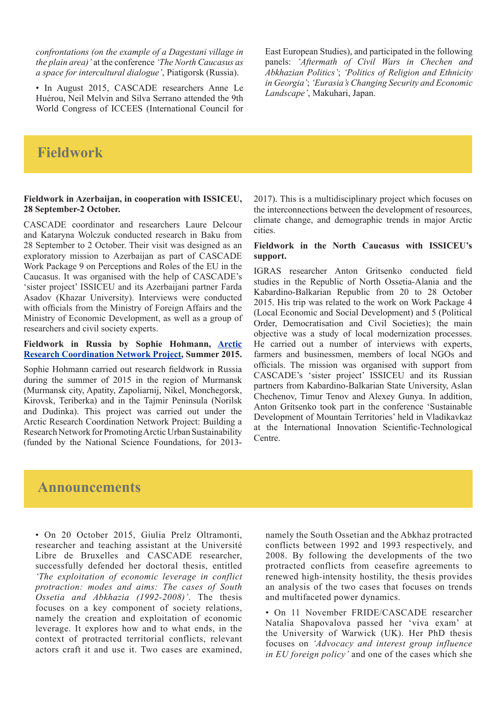*confrontations (on the example of a Dagestani village in the plain area)'* at the conference *'The North Caucasus as a space for intercultural dialogue'*, Piatigorsk (Russia).

• In August 2015, CASCADE researchers Anne Le Huérou, Neil Melvin and Silva Serrano attended the 9th World Congress of ICCEES (International Council for

East European Studies), and participated in the following panels: *'Aftermath of Civil Wars in Chechen and Abkhazian Politics'*; *'Politics of Religion and Ethnicity in Georgia'*; *'Eurasia's Changing Security and Economic Landscape'*, Makuhari, Japan.

## **Fieldwork**

#### **Fieldwork in Azerbaijan, in cooperation with ISSICEU, 28 September-2 October.**

CASCADE coordinator and researchers Laure Delcour and Kataryna Wolczuk conducted research in Baku from 28 September to 2 October. Their visit was designed as an exploratory mission to Azerbaijan as part of CASCADE Work Package 9 on Perceptions and Roles of the EU in the Caucasus. It was organised with the help of CASCADE's 'sister project' ISSICEU and its Azerbaijani partner Farda Asadov (Khazar University). Interviews were conducted with officials from the Ministry of Foreign Affairs and the Ministry of Economic Development, as well as a group of researchers and civil society experts.

#### **Fieldwork in Russia by Sophie Hohmann, [Arctic](http://site.uit.no/arcsus/)  [Research Coordination Network Project,](http://site.uit.no/arcsus/) Summer 2015.**

Sophie Hohmann carried out research fieldwork in Russia during the summer of 2015 in the region of Murmansk (Murmansk city, Apatity, Zapoliarnij, Nikel, Monchegorsk, Kirovsk, Teriberka) and in the Tajmir Peninsula (Norilsk and Dudinka). This project was carried out under the Arctic Research Coordination Network Project: Building a Research Network for Promoting Arctic Urban Sustainability (funded by the National Science Foundations, for 20132017). This is a multidisciplinary project which focuses on the interconnections between the development of resources, climate change, and demographic trends in major Arctic cities.

#### **Fieldwork in the North Caucasus with ISSICEU's support.**

IGRAS researcher Anton Gritsenko conducted field studies in the Republic of North Ossetia-Alania and the Kabardino-Balkarian Republic from 20 to 28 October 2015. His trip was related to the work on Work Package 4 (Local Economic and Social Development) and 5 (Political Order, Democratisation and Civil Societies); the main objective was a study of local modernization processes. He carried out a number of interviews with experts, farmers and businessmen, members of local NGOs and officials. The mission was organised with support from CASCADE's 'sister project' ISSICEU and its Russian partners from Kabardino-Balkarian State University, Aslan Chechenov, Timur Tenov and Alexey Gunya. In addition, Anton Gritsenko took part in the conference 'Sustainable Development of Mountain Territories' held in Vladikavkaz at the International Innovation Scientific-Technological Centre.

### **Announcements**

• On 20 October 2015, Giulia Prelz Oltramonti, researcher and teaching assistant at the Université Libre de Bruxelles and CASCADE researcher, successfully defended her doctoral thesis, entitled *'The exploitation of economic leverage in conflict protraction: modes and aims: The cases of South Ossetia and Abkhazia (1992-2008)'*. The thesis focuses on a key component of society relations, namely the creation and exploitation of economic leverage. It explores how and to what ends, in the context of protracted territorial conflicts, relevant actors craft it and use it. Two cases are examined, namely the South Ossetian and the Abkhaz protracted conflicts between 1992 and 1993 respectively, and 2008. By following the developments of the two protracted conflicts from ceasefire agreements to renewed high-intensity hostility, the thesis provides an analysis of the two cases that focuses on trends and multifaceted power dynamics.

• On 11 November FRIDE/CASCADE researcher Natalia Shapovalova passed her 'viva exam' at the University of Warwick (UK). Her PhD thesis focuses on *'Advocacy and interest group influence in EU foreign policy'* and one of the cases which she